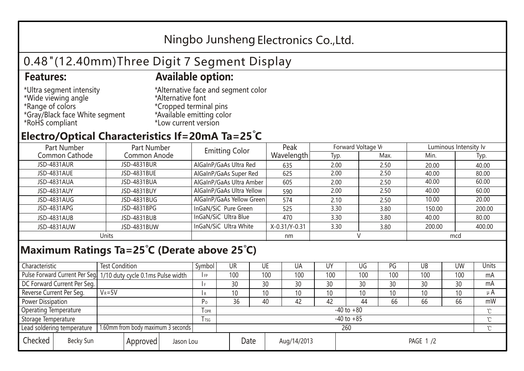## Ningbo Junsheng Electronics Co.,Ltd.

# 0.48"(12.40mm)Three Digit 7 Segment Display

### **Features: Available option:**

- \*Ultra segment intensity \*Wide viewing angle \*Range of colors \*Gray/Black face White segment \*RoHS compliant
- \*Alternative face and segment color \*Alternative font \*Cropped terminal pins \*Available emitting color \*Low current version

### **Electro/Optical Characteristics If=20mA Ta=25 C**

| Part Number    | Part Number  | <b>Emitting Color</b>     | Peak          | Forward Voltage VF |      | Luminous Intensity Iv |        |  |
|----------------|--------------|---------------------------|---------------|--------------------|------|-----------------------|--------|--|
| Common Cathode | Common Anode |                           | Wavelength    | Typ.               | Max. | Min.                  | Typ.   |  |
| JSD-4831AUR    | JSD-4831BUR  | AlGaInP/GaAs Ultra Red    | 635           | 2.00               | 2.50 | 20.00                 | 40.00  |  |
| JSD-4831AUE    | JSD-4831BUE  | AlGaInP/GaAs Super Red    | 625           | 2.00               | 2.50 | 40.00                 | 80.00  |  |
| JSD-4831AUA    | JSD-4831BUA  | AlGaInP/GaAs Ultra Amber  | 605           | 2.00               | 2.50 | 40.00                 | 60.00  |  |
| JSD-4831AUY    | JSD-4831BUY  | AlGaInP/GaAs Ultra Yellow | 590           | 2.00               | 2.50 | 40.00                 | 60.00  |  |
| JSD-4831AUG    | JSD-4831BUG  | AlGaInP/GaAs Yellow Green | 574           | 2.10               | 2.50 | 10.00                 | 20.00  |  |
| JSD-4831APG    | JSD-4831BPG  | InGaN/SiC Pure Green      | 525           | 3.30               | 3.80 | 150.00                | 200.00 |  |
| JSD-4831AUB    | JSD-4831BUB  | InGaN/SiC Ultra Blue      | 470           | 3.30               | 3.80 | 40.00                 | 80.00  |  |
| JSD-4831AUW    | JSD-4831BUW  | InGaN/SiC Ultra White     | X-0.31/Y-0.31 | 3.30               | 3.80 | 200.00                | 400.00 |  |
| Units          |              |                           | nm            |                    |      | mcd                   |        |  |

#### **Maximum Ratings Ta=25°C (Derate above 25°C)**

| Characteristic                                |            | <b>Test Condition</b><br>Symbol                                 |                     |                | UR              |    | UE       | UA  | UY  | UG  | PG  | UB     | <b>UW</b> | Units |
|-----------------------------------------------|------------|-----------------------------------------------------------------|---------------------|----------------|-----------------|----|----------|-----|-----|-----|-----|--------|-----------|-------|
|                                               |            | Pulse Forward Current Per Seg 1/10 duty cycle 0.1ms Pulse width |                     |                | 100             |    | 100      | 100 | 100 | 100 | 100 | 100    | 100       | mA    |
| DC Forward Current Per Seg.                   |            |                                                                 |                     |                | 30              | 30 |          | 30  | 30  | 30  | 30  | 30     | 30        | mA    |
| Reverse Current Per Seg.                      | $V_R = 5V$ |                                                                 |                     |                | 10 <sup>1</sup> |    | 10       | 10  | 10  | 10  | 10  | 10     | 10        | μA    |
| <b>Power Dissipation</b>                      |            |                                                                 |                     |                | 36              | 40 |          | 42  | 42  | 44  | 66  | 66     | 66        | mW    |
| <b>Operating Temperature</b>                  |            |                                                                 | $I$ OPR             | $-40$ to $+80$ |                 |    |          |     |     |     |     |        |           |       |
| Storage Temperature                           |            | I TSG                                                           | $-40$ to $+85$      |                |                 |    |          |     |     |     |     | $\sim$ |           |       |
| Lead soldering temperature                    |            | 1.60mm from body maximum 3 seconds                              |                     |                | 260             |    |          |     |     |     |     |        |           |       |
| Checked<br>Becky Sun<br>Approved<br>Jason Lou |            |                                                                 | Date<br>Aug/14/2013 |                |                 |    | PAGE 1/2 |     |     |     |     |        |           |       |